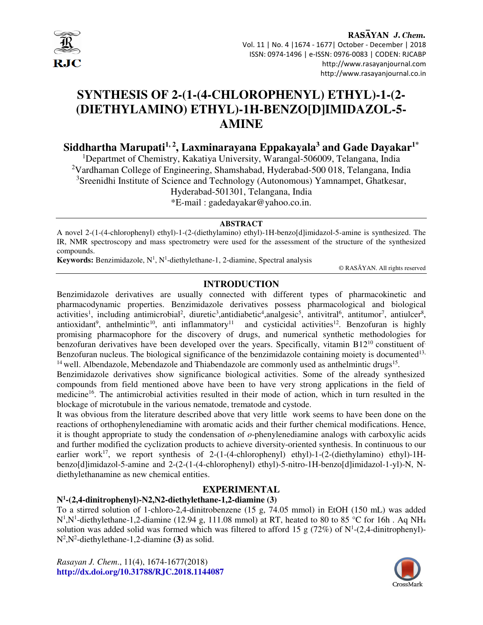

# **SYNTHESIS OF 2-(1-(4-CHLOROPHENYL) ETHYL)-1-(2- (DIETHYLAMINO) ETHYL)-1H-BENZO[D]IMIDAZOL-5- AMINE**

**Siddhartha Marupati1, 2, Laxminarayana Eppakayala<sup>3</sup> and Gade Dayakar1\***

<sup>1</sup>Departmet of Chemistry, Kakatiya University, Warangal-506009, Telangana, India <sup>2</sup>Vardhaman College of Engineering, Shamshabad, Hyderabad-500 018, Telangana, India <sup>3</sup>Sreenidhi Institute of Science and Technology (Autonomous) Yamnampet, Ghatkesar, Hyderabad-501301, Telangana, India

\*E-mail : gadedayakar@yahoo.co.in.

#### **ABSTRACT**

A novel 2-(1-(4-chlorophenyl) ethyl)-1-(2-(diethylamino) ethyl)-1H-benzo[d]imidazol-5-amine is synthesized. The IR, NMR spectroscopy and mass spectrometry were used for the assessment of the structure of the synthesized compounds.

Keywords: Benzimidazole, N<sup>1</sup>, N<sup>1</sup>-diethylethane-1, 2-diamine, Spectral analysis

© RASĀYAN. All rights reserved

# **INTRODUCTION**

Benzimidazole derivatives are usually connected with different types of pharmacokinetic and pharmacodynamic properties. Benzimidazole derivatives possess pharmacological and biological activities<sup>1</sup>, including antimicrobial<sup>2</sup>, diuretic<sup>3</sup>, antidiabetic<sup>4</sup>, analgesic<sup>5</sup>, antivitral<sup>6</sup>, antitumor<sup>7</sup>, antiulcer<sup>8</sup>, antioxidant<sup>9</sup>, anthelmintic<sup>10</sup>, anti inflammatory<sup>11</sup> and cysticidal activities<sup>12</sup>. Benzofuran is highly promising pharmacophore for the discovery of drugs, and numerical synthetic methodologies for benzofuran derivatives have been developed over the years. Specifically, vitamin  $B12^{10}$  constituent of. Benzofuran nucleus. The biological significance of the benzimidazole containing moiety is documented<sup>13,</sup>  $14$  well. Albendazole, Mebendazole and Thiabendazole are commonly used as anthelmintic drugs<sup>15</sup>.

Benzimidazole derivatives show significance biological activities. Some of the already synthesized compounds from field mentioned above have been to have very strong applications in the field of medicine<sup>16</sup>. The antimicrobial activities resulted in their mode of action, which in turn resulted in the blockage of microtubule in the various nematode, trematode and cystode.

It was obvious from the literature described above that very little work seems to have been done on the reactions of orthophenylenediamine with aromatic acids and their further chemical modifications. Hence, it is thought appropriate to study the condensation of *o*-phenylenediamine analogs with carboxylic acids and further modified the cyclization products to achieve diversity-oriented synthesis. In continuous to our earlier work<sup>17</sup>, we report synthesis of 2-(1-(4-chlorophenyl) ethyl)-1-(2-(diethylamino) ethyl)-1Hbenzo[d]imidazol-5-amine and 2-(2-(1-(4-chlorophenyl) ethyl)-5-nitro-1H-benzo[d]imidazol-1-yl)-N, Ndiethylethanamine as new chemical entities.

# **EXPERIMENTAL**

# **N1 -(2,4-dinitrophenyl)-N2,N2-diethylethane-1,2-diamine (3)**

To a stirred solution of 1-chloro-2,4-dinitrobenzene (15 g, 74.05 mmol) in EtOH (150 mL) was added  $N^1$ , N<sup>1</sup>-diethylethane-1,2-diamine (12.94 g, 111.08 mmol) at RT, heated to 80 to 85 °C for 16h. Aq NH<sub>4</sub> solution was added solid was formed which was filtered to afford 15 g (72%) of  $N^1$ -(2,4-dinitrophenyl)-N2 ,N<sup>2</sup> -diethylethane-1,2-diamine **(3)** as solid.

*Rasayan J. Chem*., 11(4), 1674-1677(2018) **http://dx.doi.org/10.31788/RJC.2018.1144087**

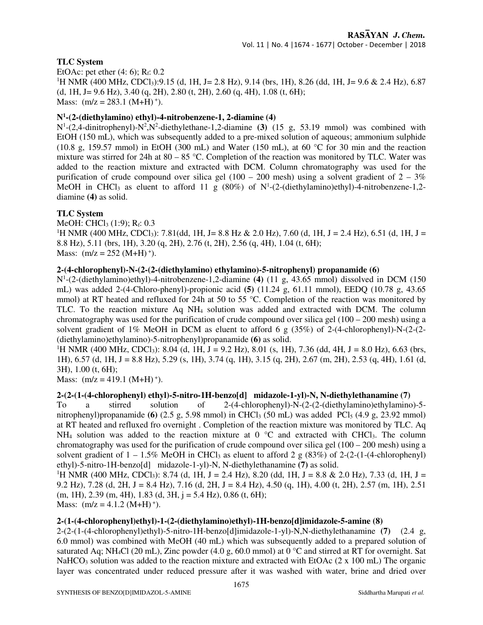# **TLC System**

EtOAc: pet ether  $(4: 6)$ ; R<sub>f</sub>: 0.2 <sup>1</sup>H NMR (400 MHz, CDCl<sub>3</sub>):9.15 (d, 1H, J = 2.8 Hz), 9.14 (brs, 1H), 8.26 (dd, 1H, J = 9.6 & 2.4 Hz), 6.87 (d, 1H, J = 9.6 Hz), 3.40 (q, 2H), 2.80 (t, 2H), 2.60 (q, 4H), 1.08 (t, 6H); Mass:  $(m/z = 283.1 \ (M+H)^{+})$ .

# **N1 -(2-(diethylamino) ethyl)-4-nitrobenzene-1, 2-diamine (4)**

N<sup>1</sup>-(2,4-dinitrophenyl)-N<sup>2</sup>,N<sup>2</sup>-diethylethane-1,2-diamine **(3)** (15 g, 53.19 mmol) was combined with EtOH (150 mL), which was subsequently added to a pre-mixed solution of aqueous; ammonium sulphide (10.8 g, 159.57 mmol) in EtOH (300 mL) and Water (150 mL), at 60 °C for 30 min and the reaction mixture was stirred for 24h at  $80 - 85$  °C. Completion of the reaction was monitored by TLC. Water was added to the reaction mixture and extracted with DCM. Column chromatography was used for the purification of crude compound over silica gel  $(100 - 200 \text{ mesh})$  using a solvent gradient of  $2 - 3\%$ MeOH in CHCl<sub>3</sub> as eluent to afford 11 g (80%) of  $N^1$ -(2-(diethylamino)ethyl)-4-nitrobenzene-1,2diamine **(4)** as solid.

#### **TLC System**

MeOH: CHCl<sub>3</sub> (1:9);  $R_f$ : 0.3 <sup>1</sup>H NMR (400 MHz, CDCl<sub>3</sub>): 7.81(dd, 1H, J= 8.8 Hz & 2.0 Hz), 7.60 (d, 1H, J = 2.4 Hz), 6.51 (d, 1H, J = 8.8 Hz), 5.11 (brs, 1H), 3.20 (q, 2H), 2.76 (t, 2H), 2.56 (q, 4H), 1.04 (t, 6H); Mass:  $(m/z = 252 (M+H)^{+})$ .

#### **2-(4-chlorophenyl)-N-(2-(2-(diethylamino) ethylamino)-5-nitrophenyl) propanamide (6)**

N1 -(2-(diethylamino)ethyl)-4-nitrobenzene-1,2-diamine **(4)** (11 g, 43.65 mmol) dissolved in DCM (150 mL) was added 2-(4-Chloro-phenyl)-propionic acid **(5)** (11.24 g, 61.11 mmol), EEDQ (10.78 g, 43.65 mmol) at RT heated and refluxed for 24h at 50 to 55 °C. Completion of the reaction was monitored by TLC. To the reaction mixture Aq NH4 solution was added and extracted with DCM. The column chromatography was used for the purification of crude compound over silica gel  $(100 - 200 \text{ mesh})$  using a solvent gradient of 1% MeOH in DCM as eluent to afford 6 g  $(35%)$  of 2-(4-chlorophenyl)-N-(2-(2-(diethylamino)ethylamino)-5-nitrophenyl)propanamide **(6)** as solid.

<sup>1</sup>H NMR (400 MHz, CDCl<sub>3</sub>): 8.04 (d, 1H, J = 9.2 Hz), 8.01 (s, 1H), 7.36 (dd, 4H, J = 8.0 Hz), 6.63 (brs, 1H), 6.57 (d, 1H, J = 8.8 Hz), 5.29 (s, 1H), 3.74 (q, 1H), 3.15 (q, 2H), 2.67 (m, 2H), 2.53 (q, 4H), 1.61 (d, 3H), 1.00 (t, 6H);

Mass:  $(m/z = 419.1 (M+H)^{+})$ .

#### **2-(2-(1-(4-chlorophenyl) ethyl)-5-nitro-1H-benzo[d] midazole-1-yl)-N, N-diethylethanamine (7)**

To a stirred solution of 2-(4-chlorophenyl)-N-(2-(2-(diethylamino)ethylamino)-5 nitrophenyl)propanamide **(6)**  $(2.5 \text{ g}, 5.98 \text{ mmol})$  in CHCl<sub>3</sub>  $(50 \text{ mL})$  was added PCl<sub>5</sub>  $(4.9 \text{ g}, 23.92 \text{ mmol})$ at RT heated and refluxed fro overnight . Completion of the reaction mixture was monitored by TLC. Aq NH<sub>4</sub> solution was added to the reaction mixture at  $0^{\circ}$ C and extracted with CHCl<sub>3</sub>. The column chromatography was used for the purification of crude compound over silica gel  $(100 - 200 \text{ mesh})$  using a solvent gradient of  $1 - 1.5\%$  MeOH in CHCl<sub>3</sub> as eluent to afford 2 g (83%) of 2-(2-(1-(4-chlorophenyl) ethyl)-5-nitro-1H-benzo[d] midazole-1-yl)-N, N-diethylethanamine **(7)** as solid.

<sup>1</sup>H NMR (400 MHz, CDCl<sub>3</sub>): 8.74 (d, 1H, J = 2.4 Hz), 8.20 (dd, 1H, J = 8.8 & 2.0 Hz), 7.33 (d, 1H, J = 9.2 Hz), 7.28 (d, 2H, J = 8.4 Hz), 7.16 (d, 2H, J = 8.4 Hz), 4.50 (q, 1H), 4.00 (t, 2H), 2.57 (m, 1H), 2.51  $(m, 1H)$ , 2.39  $(m, 4H)$ , 1.83  $(d, 3H, j = 5.4 Hz)$ , 0.86  $(t, 6H)$ ; Mass:  $(m/z = 4.1.2 (M+H)^{+})$ .

#### **2-(1-(4-chlorophenyl)ethyl)-1-(2-(diethylamino)ethyl)-1H-benzo[d]imidazole-5-amine (8)**

2-(2-(1-(4-chlorophenyl)ethyl)-5-nitro-1H-benzo[d]imidazole-1-yl)-N,N-diethylethanamine **(7)** (2.4 g, 6.0 mmol) was combined with MeOH (40 mL) which was subsequently added to a prepared solution of saturated Aq; NH<sub>4</sub>Cl (20 mL), Zinc powder (4.0 g, 60.0 mmol) at  $0^{\circ}$ C and stirred at RT for overnight. Sat NaHCO<sub>3</sub> solution was added to the reaction mixture and extracted with EtOAc (2 x 100 mL) The organic layer was concentrated under reduced pressure after it was washed with water, brine and dried over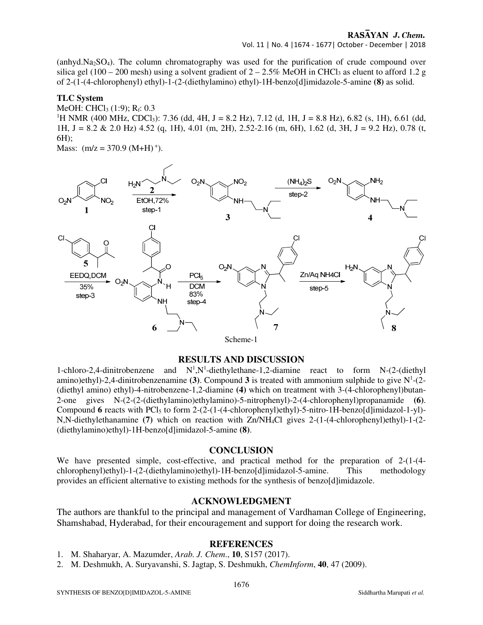#### RASAYAN J. Chem. Vol. 11 | No. 4 |1674 - 1677| October - December | 2018

(anhyd.Na2SO4). The column chromatography was used for the purification of crude compound over silica gel (100 – 200 mesh) using a solvent gradient of  $2 - 2.5\%$  MeOH in CHCl<sub>3</sub> as eluent to afford 1.2 g of 2-(1-(4-chlorophenyl) ethyl)-1-(2-(diethylamino) ethyl)-1H-benzo[d]imidazole-5-amine **(8)** as solid.

# **TLC System**

# MeOH: CHCl<sub>3</sub>  $(1:9)$ ; R<sub>f</sub>: 0.3

<sup>1</sup>H NMR (400 MHz, CDCl<sub>3</sub>): 7.36 (dd, 4H, J = 8.2 Hz), 7.12 (d, 1H, J = 8.8 Hz), 6.82 (s, 1H), 6.61 (dd, 1H, J = 8.2 & 2.0 Hz) 4.52 (q, 1H), 4.01 (m, 2H), 2.52-2.16 (m, 6H), 1.62 (d, 3H, J = 9.2 Hz), 0.78 (t, 6H);

Mass:  $(m/z = 370.9 (M+H)^+$ ).



# **RESULTS AND DISCUSSION**

1-chloro-2,4-dinitrobenzene and  $N^1$ , N<sup>1</sup>-diethylethane-1,2-diamine react to form N-(2-(diethyl amino)ethyl)-2,4-dinitrobenzenamine **(3)**. Compound **3** is treated with ammonium sulphide to give N<sup>1</sup> -(2- (diethyl amino) ethyl)-4-nitrobenzene-1,2-diamine **(4)** which on treatment with 3-(4-chlorophenyl)butan-2-one gives N-(2-(2-(diethylamino)ethylamino)-5-nitrophenyl)-2-(4-chlorophenyl)propanamide **(6)**. Compound 6 reacts with PCl<sub>5</sub> to form  $2-(2-(1-(4-chlorophenyl)ethvl)-5-nitro-1H-benzofd|imidazol-1-vl)-$ N,N-diethylethanamine **(7)** which on reaction with Zn/NH4Cl gives 2-(1-(4-chlorophenyl)ethyl)-1-(2- (diethylamino)ethyl)-1H-benzo[d]imidazol-5-amine **(8)**.

# **CONCLUSION**

We have presented simple, cost-effective, and practical method for the preparation of 2-(1-(4chlorophenyl)ethyl)-1-(2-(diethylamino)ethyl)-1H-benzo[d]imidazol-5-amine. This methodology provides an efficient alternative to existing methods for the synthesis of benzo[d]imidazole.

# **ACKNOWLEDGMENT**

The authors are thankful to the principal and management of Vardhaman College of Engineering, Shamshabad, Hyderabad, for their encouragement and support for doing the research work.

# **REFERENCES**

- 1. M. Shaharyar, A. Mazumder, *Arab. J. Chem*., **10**, S157 (2017).
- 2. M. Deshmukh, A. Suryavanshi, S. Jagtap, S. Deshmukh, *ChemInform*, **40**, 47 (2009).